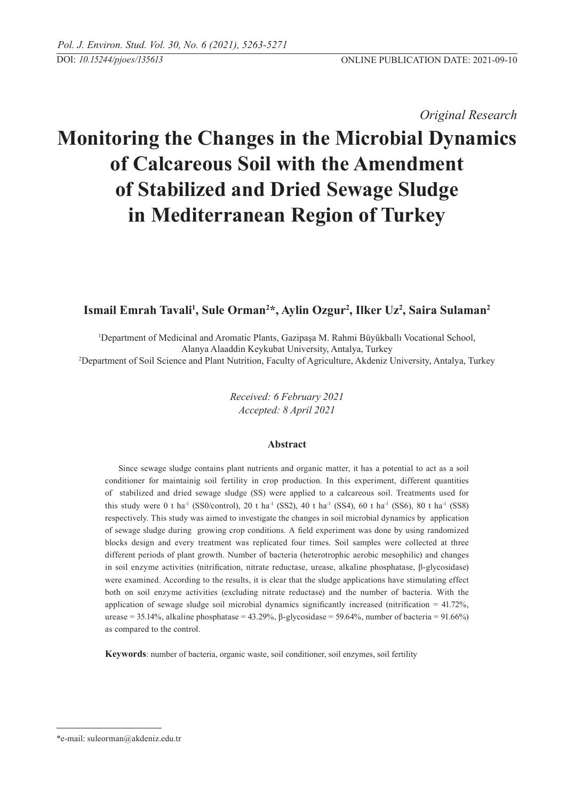*Original Research* 

# **Monitoring the Changes in the Microbial Dynamics of Calcareous Soil with the Amendment of Stabilized and Dried Sewage Sludge in Mediterranean Region of Turkey**

## **Ismail Emrah Tavali1 , Sule Orman2 \*, Aylin Ozgur2 , Ilker Uz2 , Saira Sulaman2**

1 Department of Medicinal and Aromatic Plants, Gazipaşa M. Rahmi Büyükballı Vocational School, Alanya Alaaddin Keykubat University, Antalya, Turkey 2 Department of Soil Science and Plant Nutrition, Faculty of Agriculture, Akdeniz University, Antalya, Turkey

> *Received: 6 February 2021 Accepted: 8 April 2021*

## **Abstract**

Since sewage sludge contains plant nutrients and organic matter, it has a potential to act as a soil conditioner for maintainig soil fertility in crop production. In this experiment, different quantities of stabilized and dried sewage sludge (SS) were applied to a calcareous soil. Treatments used for this study were 0 t ha<sup>-1</sup> (SS0/control), 20 t ha<sup>-1</sup> (SS2), 40 t ha<sup>-1</sup> (SS4), 60 t ha<sup>-1</sup> (SS6), 80 t ha<sup>-1</sup> (SS8) respectively. This study was aimed to investigate the changes in soil microbial dynamics by application of sewage sludge during growing crop conditions. A field experiment was done by using randomized blocks design and every treatment was replicated four times. Soil samples were collected at three different periods of plant growth. Number of bacteria (heterotrophic aerobic mesophilic) and changes in soil enzyme activities (nitrification, nitrate reductase, urease, alkaline phosphatase, β-glycosidase) were examined. According to the results, it is clear that the sludge applications have stimulating effect both on soil enzyme activities (excluding nitrate reductase) and the number of bacteria. With the application of sewage sludge soil microbial dynamics significantly increased (nitrification = 41.72%, urease = 35.14%, alkaline phosphatase = 43.29%,  $\beta$ -glycosidase = 59.64%, number of bacteria = 91.66%) as compared to the control.

**Keywords**: number of bacteria, organic waste, soil conditioner, soil enzymes, soil fertility

<sup>\*</sup>e-mail: suleorman@akdeniz.edu.tr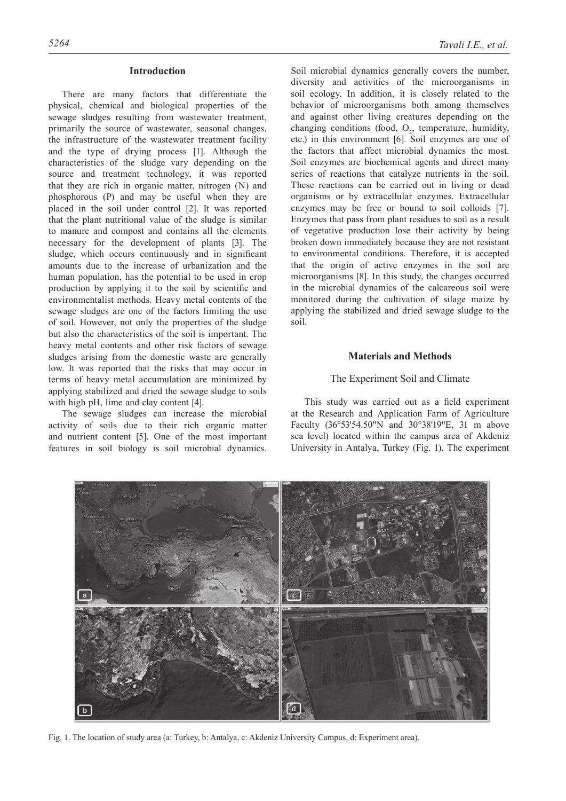#### **Introduction**

There are many factors that differentiate the physical, chemical and biological properties of the sewage sludges resulting from wastewater treatment, primarily the source of wastewater, seasonal changes, the infrastructure of the wastewater treatment facility and the type of drying process [1]. Although the characteristics of the sludge vary depending on the source and treatment technology, it was reported that they are rich in organic matter, nitrogen (N) and phosphorous (P) and may be useful when they are placed in the soil under control [2]. It was reported that the plant nutritional value of the sludge is similar to manure and compost and contains all the elements necessary for the development of plants [3]. The sludge, which occurs continuously and in significant amounts due to the increase of urbanization and the human population, has the potential to be used in crop production by applying it to the soil by scientific and environmentalist methods. Heavy metal contents of the sewage sludges are one of the factors limiting the use of soil. However, not only the properties of the sludge but also the characteristics of the soil is important. The heavy metal contents and other risk factors of sewage sludges arising from the domestic waste are generally low. It was reported that the risks that may occur in terms of heavy metal accumulation are minimized by applying stabilized and dried the sewage sludge to soils with high pH, lime and clay content [4].

The sewage sludges can increase the microbial activity of soils due to their rich organic matter and nutrient content [5]. One of the most important features in soil biology is soil microbial dynamics.

Soil microbial dynamics generally covers the number, diversity and activities of the microorganisms in soil ecology. In addition, it is closely related to the behavior of microorganisms both among themselves and against other living creatures depending on the changing conditions (food,  $O_2$ , temperature, humidity, etc.) in this environment [6]. Soil enzymes are one of the factors that affect microbial dynamics the most. Soil enzymes are biochemical agents and direct many series of reactions that catalyze nutrients in the soil. These reactions can be carried out in living or dead organisms or by extracellular enzymes. Extracellular enzymes may be free or bound to soil colloids [7]. Enzymes that pass from plant residues to soil as a result of vegetative production lose their activity by being broken down immediately because they are not resistant to environmental conditions. Therefore, it is accepted that the origin of active enzymes in the soil are microorganisms [8]. In this study, the changes occurred in the microbial dynamics of the calcareous soil were monitored during the cultivation of silage maize by applying the stabilized and dried sewage sludge to the soil.

## **Materials and Methods**

## The Experiment Soil and Climate

This study was carried out as a field experiment at the Research and Application Farm of Agriculture Faculty (36°53'54.50"N and 30°38'19"E, 31 m above sea level) located within the campus area of Akdeniz University in Antalya, Turkey (Fig. 1). The experiment



Fig. 1. The location of study area (a: Turkey, b: Antalya, c: Akdeniz University Campus, d: Experiment area).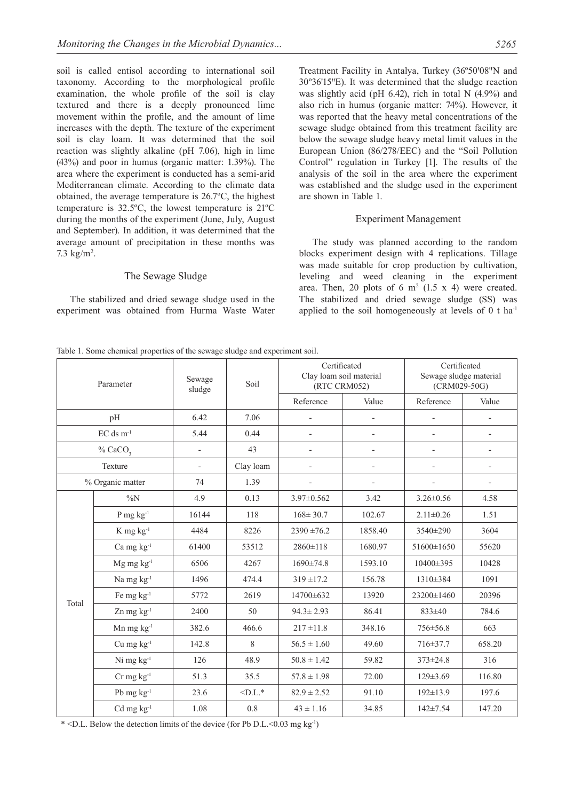soil is called entisol according to international soil taxonomy. According to the morphological profile examination, the whole profile of the soil is clay textured and there is a deeply pronounced lime movement within the profile, and the amount of lime increases with the depth. The texture of the experiment soil is clay loam. It was determined that the soil reaction was slightly alkaline (pH 7.06), high in lime (43%) and poor in humus (organic matter: 1.39%). The area where the experiment is conducted has a semi-arid Mediterranean climate. According to the climate data obtained, the average temperature is 26.7ºC, the highest temperature is 32.5ºC, the lowest temperature is 21ºC during the months of the experiment (June, July, August and September). In addition, it was determined that the average amount of precipitation in these months was 7.3  $\text{kg/m}^2$ .

## The Sewage Sludge

The stabilized and dried sewage sludge used in the experiment was obtained from Hurma Waste Water Treatment Facility in Antalya, Turkey (36°50'08"N and 30°36′15″E). It was determined that the sludge reaction was slightly acid (pH 6.42), rich in total N (4.9%) and also rich in humus (organic matter: 74%). However, it was reported that the heavy metal concentrations of the sewage sludge obtained from this treatment facility are below the sewage sludge heavy metal limit values in the European Union (86/278/EEC) and the "Soil Pollution Control" regulation in Turkey [1]. The results of the analysis of the soil in the area where the experiment was established and the sludge used in the experiment are shown in Table 1.

#### Experiment Management

The study was planned according to the random blocks experiment design with 4 replications. Tillage was made suitable for crop production by cultivation, leveling and weed cleaning in the experiment area. Then, 20 plots of 6  $m<sup>2</sup>$  (1.5 x 4) were created. The stabilized and dried sewage sludge (SS) was applied to the soil homogeneously at levels of 0 t ha-1

Table 1. Some chemical properties of the sewage sludge and experiment soil.

| Parameter             |                                            | Sewage<br>sludge         | Soil      | Certificated<br>Clay loam soil material<br>(RTC CRM052) |                | Certificated<br>Sewage sludge material<br>$(CRM029-50G)$ |                          |
|-----------------------|--------------------------------------------|--------------------------|-----------|---------------------------------------------------------|----------------|----------------------------------------------------------|--------------------------|
|                       |                                            |                          |           | Reference                                               | Value          | Reference                                                | Value                    |
| pH                    |                                            | 6.42                     | 7.06      |                                                         |                |                                                          |                          |
| $EC$ ds $m^{-1}$      |                                            | 5.44                     | 0.44      |                                                         |                |                                                          | $\overline{a}$           |
| $%$ CaCO <sub>3</sub> |                                            | $\overline{\phantom{0}}$ | 43        | $\overline{\phantom{0}}$                                | $\overline{a}$ | $\overline{\phantom{0}}$                                 | $\overline{\phantom{0}}$ |
| Texture               |                                            |                          | Clay loam |                                                         |                |                                                          | $\overline{a}$           |
| % Organic matter      |                                            | 74                       | 1.39      | $\overline{\phantom{0}}$                                | $\overline{a}$ |                                                          | $\overline{a}$           |
| Total                 | $\%N$                                      | 4.9                      | 0.13      | $3.97 \pm 0.562$                                        | 3.42           | $3.26 \pm 0.56$                                          | 4.58                     |
|                       | $P$ mg $kg^{-1}$                           | 16144                    | 118       | $168 \pm 30.7$                                          | 102.67         | $2.11 \pm 0.26$                                          | 1.51                     |
|                       | $K$ mg $kg^{-1}$                           | 4484                     | 8226      | $2390 \pm 76.2$                                         | 1858.40        | 3540±290                                                 | 3604                     |
|                       | Ca mg kg <sup>-1</sup>                     | 61400                    | 53512     | $2860 \pm 118$                                          | 1680.97        | 51600±1650                                               | 55620                    |
|                       | $Mg$ mg $kg^{-1}$                          | 6506                     | 4267      | $1690 \pm 74.8$                                         | 1593.10        | $10400 \pm 395$                                          | 10428                    |
|                       | Na mg kg <sup>-1</sup>                     | 1496                     | 474.4     | $319 \pm 17.2$                                          | 156.78         | 1310±384                                                 | 1091                     |
|                       | Fe mg kg <sup>-1</sup>                     | 5772                     | 2619      | 14700±632                                               | 13920          | 23200±1460                                               | 20396                    |
|                       | $Zn$ mg $kg^{-1}$                          | 2400                     | 50        | $94.3 \pm 2.93$                                         | 86.41          | $833 \pm 40$                                             | 784.6                    |
|                       | $Mn$ mg $kg^{-1}$                          | 382.6                    | 466.6     | $217 \pm 11.8$                                          | 348.16         | $756 \pm 56.8$                                           | 663                      |
|                       | $\mathrm{Cu}$ mg $\mathrm{kg}^{\text{-1}}$ | 142.8                    | 8         | $56.5 \pm 1.60$                                         | 49.60          | 716±37.7                                                 | 658.20                   |
|                       | Ni mg kg <sup>-1</sup>                     | 126                      | 48.9      | $50.8 \pm 1.42$                                         | 59.82          | $373 \pm 24.8$                                           | 316                      |
|                       | $Cr$ mg $kg^{-1}$                          | 51.3                     | 35.5      | $57.8 \pm 1.98$                                         | 72.00          | $129 \pm 3.69$                                           | 116.80                   |
|                       | Pb $mg \, kg^{-1}$                         | 23.6                     | $\n  $    | $82.9 \pm 2.52$                                         | 91.10          | $192 \pm 13.9$                                           | 197.6                    |
|                       | $Cd$ mg $kg^{-1}$                          | 1.08                     | 0.8       | $43 \pm 1.16$                                           | 34.85          | $142 \pm 7.54$                                           | 147.20                   |

 $*$  <D.L. Below the detection limits of the device (for Pb D.L. < 0.03 mg kg<sup>-1</sup>)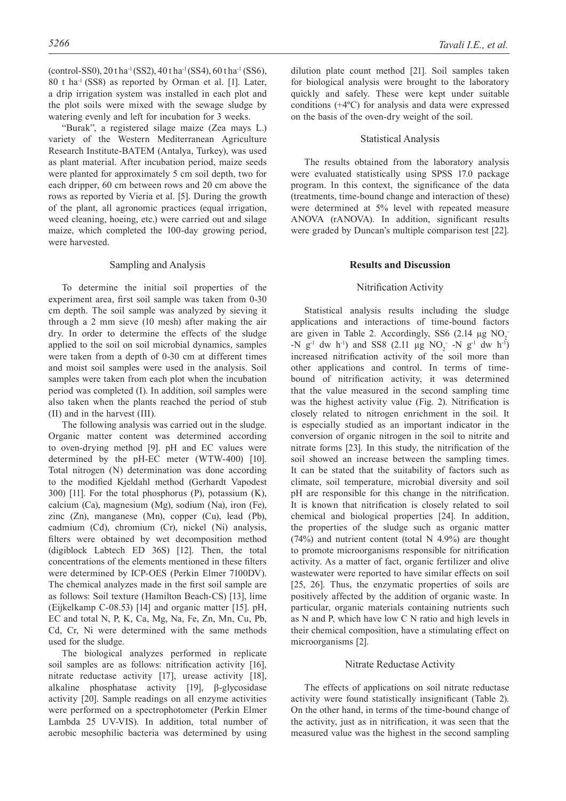(control-SS0), 20 t ha-1 (SS2), 40 t ha-1 (SS4), 60 t ha-1 (SS6), 80 t ha-1 (SS8) as reported by Orman et al. [1]. Later, a drip irrigation system was installed in each plot and the plot soils were mixed with the sewage sludge by watering evenly and left for incubation for 3 weeks.

"Burak", a registered silage maize (Zea mays L.) variety of the Western Mediterranean Agriculture Research Institute-BATEM (Antalya, Turkey), was used as plant material. After incubation period, maize seeds were planted for approximately 5 cm soil depth, two for each dripper, 60 cm between rows and 20 cm above the rows as reported by Vieria et al. [5]. During the growth of the plant, all agronomic practices (equal irrigation, weed cleaning, hoeing, etc.) were carried out and silage maize, which completed the 100-day growing period, were harvested.

## Sampling and Analysis

To determine the initial soil properties of the experiment area, first soil sample was taken from 0-30 cm depth. The soil sample was analyzed by sieving it through a 2 mm sieve (10 mesh) after making the air dry. In order to determine the effects of the sludge applied to the soil on soil microbial dynamics, samples were taken from a depth of 0-30 cm at different times and moist soil samples were used in the analysis. Soil samples were taken from each plot when the incubation period was completed (I). In addition, soil samples were also taken when the plants reached the period of stub (II) and in the harvest (III).

The following analysis was carried out in the sludge. Organic matter content was determined according to oven-drying method [9]. pH and EC values were determined by the pH-EC meter (WTW-400) [10]. Total nitrogen (N) determination was done according to the modified Kjeldahl method (Gerhardt Vapodest 300) [11]. For the total phosphorus (P), potassium  $(K)$ , calcium (Ca), magnesium (Mg), sodium (Na), iron (Fe), zinc (Zn), manganese (Mn), copper (Cu), lead (Pb), cadmium (Cd), chromium (Cr), nickel (Ni) analysis, filters were obtained by wet decomposition method (digiblock Labtech ED 36S) [12]. Then, the total concentrations of the elements mentioned in these filters were determined by ICP-OES (Perkin Elmer 7100DV). The chemical analyzes made in the first soil sample are as follows: Soil texture (Hamilton Beach-CS) [13], lime (Eijkelkamp C-08.53) [14] and organic matter [15]. pH, EC and total N, P, K, Ca, Mg, Na, Fe, Zn, Mn, Cu, Pb, Cd, Cr, Ni were determined with the same methods used for the sludge.

The biological analyzes performed in replicate soil samples are as follows: nitrification activity [16], nitrate reductase activity [17], urease activity [18], alkaline phosphatase activity [19], β-glycosidase activity [20]. Sample readings on all enzyme activities were performed on a spectrophotometer (Perkin Elmer Lambda 25 UV-VIS). In addition, total number of aerobic mesophilic bacteria was determined by using

dilution plate count method [21]. Soil samples taken for biological analysis were brought to the laboratory quickly and safely. These were kept under suitable conditions (+4ºC) for analysis and data were expressed on the basis of the oven-dry weight of the soil.

## Statistical Analysis

The results obtained from the laboratory analysis were evaluated statistically using SPSS 17.0 package program. In this context, the significance of the data (treatments, time-bound change and interaction of these) were determined at 5% level with repeated measure ANOVA (rANOVA). In addition, significant results were graded by Duncan's multiple comparison test [22].

#### **Results and Discussion**

#### Nitrification Activity

Statistical analysis results including the sludge applications and interactions of time-bound factors are given in Table 2. Accordingly, SS6 (2.14  $\mu$ g NO<sub>2</sub>  $-N$  g<sup>-1</sup> dw h<sup>-1</sup>) and SS8 (2.11 µg NO<sub>2</sub> -N g<sup>-1</sup> dw h<sup>-1</sup>) increased nitrification activity of the soil more than other applications and control. In terms of timebound of nitrification activity, it was determined that the value measured in the second sampling time was the highest activity value (Fig. 2). Nitrification is closely related to nitrogen enrichment in the soil. It is especially studied as an important indicator in the conversion of organic nitrogen in the soil to nitrite and nitrate forms [23]. In this study, the nitrification of the soil showed an increase between the sampling times. It can be stated that the suitability of factors such as climate, soil temperature, microbial diversity and soil pH are responsible for this change in the nitrification. It is known that nitrification is closely related to soil chemical and biological properties [24]. In addition, the properties of the sludge such as organic matter  $(74%)$  and nutrient content (total N 4.9%) are thought to promote microorganisms responsible for nitrification activity. As a matter of fact, organic fertilizer and olive wastewater were reported to have similar effects on soil [25, 26]. Thus, the enzymatic properties of soils are positively affected by the addition of organic waste. In particular, organic materials containing nutrients such as N and P, which have low C N ratio and high levels in their chemical composition, have a stimulating effect on microorganisms [2].

#### Nitrate Reductase Activity

The effects of applications on soil nitrate reductase activity were found statistically insignificant (Table 2). On the other hand, in terms of the time-bound change of the activity, just as in nitrification, it was seen that the measured value was the highest in the second sampling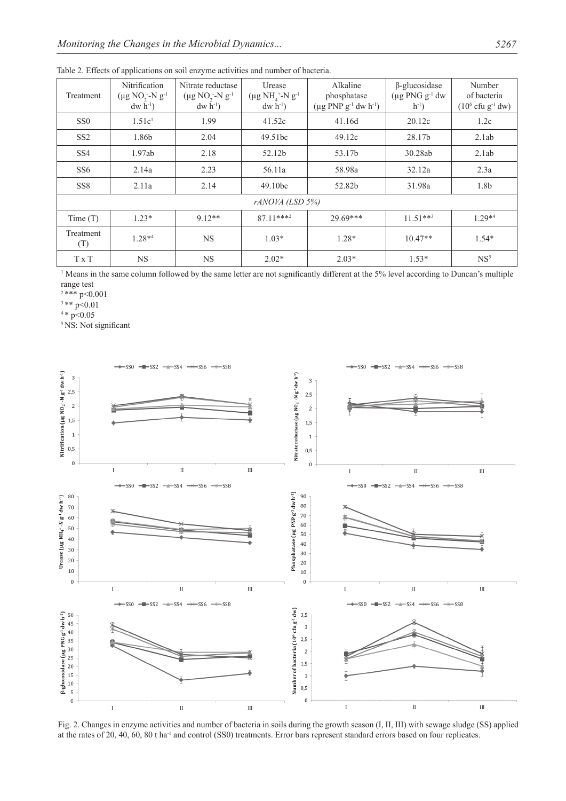| Treatment        | Nitrification<br>$(\mu g NO, -N g^{-1})$<br>$dw h^{-1}$ | Nitrate reductase<br>$(\mu g NO, -N g^{-1})$<br>$dw h^{-1}$ | Urease<br>$(\mu g NH_{4}^{\ +}-N g^{-1})$<br>$dw h^{-1}$ | Alkaline<br>phosphatase<br>$(\mu g PNP g^{-1} dw h^{-1})$ | $\beta$ -glucosidase<br>$(\mu g$ PNG $g^{-1}$ dw<br>$h^{-1}$ ) | Number<br>of bacteria<br>$(10^6 \text{ cftu } g^{-1} \text{ dw})$ |  |  |  |  |  |
|------------------|---------------------------------------------------------|-------------------------------------------------------------|----------------------------------------------------------|-----------------------------------------------------------|----------------------------------------------------------------|-------------------------------------------------------------------|--|--|--|--|--|
| SS <sub>0</sub>  | 1.51c <sup>1</sup>                                      | 1.99                                                        | 41.52c                                                   | 41.16d                                                    | 20.12c                                                         | 1.2c                                                              |  |  |  |  |  |
| SS <sub>2</sub>  | 1.86b                                                   | 2.04                                                        | 49.51bc                                                  | 49.12c                                                    | 28.17b                                                         | 2.1ab                                                             |  |  |  |  |  |
| SS <sub>4</sub>  | 1.97ab                                                  | 2.18                                                        | 52.12b                                                   | 53.17b                                                    | 30.28ab                                                        | 2.1ab                                                             |  |  |  |  |  |
| SS <sub>6</sub>  | 2.14a                                                   | 2.23                                                        | 56.11a                                                   | 58.98a                                                    | 32.12a                                                         | 2.3a                                                              |  |  |  |  |  |
| SS <sub>8</sub>  | 2.11a                                                   | 2.14                                                        | 49.10bc                                                  | 52.82b                                                    | 31.98a                                                         | 1.8b                                                              |  |  |  |  |  |
| rANOVA (LSD 5%)  |                                                         |                                                             |                                                          |                                                           |                                                                |                                                                   |  |  |  |  |  |
| Time(T)          | $1.23*$                                                 | $912**$                                                     | $8711***^2$                                              | $29.69***$                                                | $11.51***3$                                                    | $1.29**4$                                                         |  |  |  |  |  |
| Treatment<br>(T) | $1.28*4$                                                | <b>NS</b>                                                   | $1.03*$                                                  | $1.28*$                                                   | $10.47**$                                                      | $1.54*$                                                           |  |  |  |  |  |
| T x T            | <b>NS</b>                                               | <b>NS</b>                                                   | $2.02*$                                                  | $2.03*$                                                   | $1.53*$                                                        | NS <sup>5</sup>                                                   |  |  |  |  |  |

Table 2. Effects of applications on soil enzyme activities and number of bacteria.

1 Means in the same column followed by the same letter are not significantly different at the 5% level according to Duncan's multiple range test

<sup>2</sup>\*\*\* p<0.001

 $3**$  p<0.01

 $4 * p < 0.05$ 

<sup>5</sup> NS: Not significant



Fig. 2. Changes in enzyme activities and number of bacteria in soils during the growth season (I, II, III) with sewage sludge (SS) applied at the rates of 20, 40, 60, 80 t ha-1 and control (SS0) treatments. Error bars represent standard errors based on four replicates.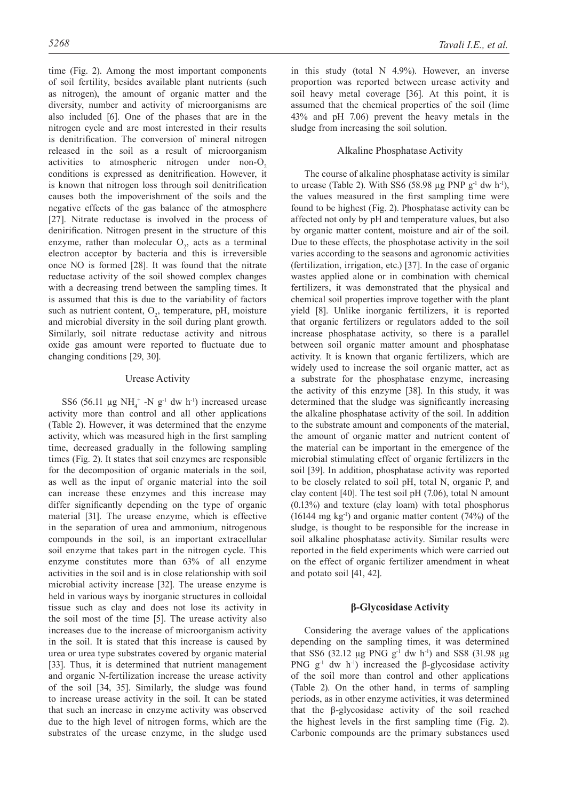time (Fig. 2). Among the most important components of soil fertility, besides available plant nutrients (such as nitrogen), the amount of organic matter and the diversity, number and activity of microorganisms are also included [6]. One of the phases that are in the nitrogen cycle and are most interested in their results is denitrification. The conversion of mineral nitrogen released in the soil as a result of microorganism activities to atmospheric nitrogen under non- $O<sub>2</sub>$ conditions is expressed as denitrification. However, it is known that nitrogen loss through soil denitrification causes both the impoverishment of the soils and the negative effects of the gas balance of the atmosphere [27]. Nitrate reductase is involved in the process of denirification. Nitrogen present in the structure of this enzyme, rather than molecular  $O_2$ , acts as a terminal electron acceptor by bacteria and this is irreversible once NO is formed [28]. It was found that the nitrate reductase activity of the soil showed complex changes with a decreasing trend between the sampling times. It is assumed that this is due to the variability of factors such as nutrient content,  $O_2$ , temperature, pH, moisture and microbial diversity in the soil during plant growth. Similarly, soil nitrate reductase activity and nitrous oxide gas amount were reported to fluctuate due to changing conditions [29, 30].

## Urease Activity

SS6 (56.11  $\mu$ g NH<sub>4</sub><sup>+</sup> -N g<sup>-1</sup> dw h<sup>-1</sup>) increased urease activity more than control and all other applications (Table 2). However, it was determined that the enzyme activity, which was measured high in the first sampling time, decreased gradually in the following sampling times (Fig. 2). It states that soil enzymes are responsible for the decomposition of organic materials in the soil, as well as the input of organic material into the soil can increase these enzymes and this increase may differ significantly depending on the type of organic material [31]. The urease enzyme, which is effective in the separation of urea and ammonium, nitrogenous compounds in the soil, is an important extracellular soil enzyme that takes part in the nitrogen cycle. This enzyme constitutes more than 63% of all enzyme activities in the soil and is in close relationship with soil microbial activity increase [32]. The urease enzyme is held in various ways by inorganic structures in colloidal tissue such as clay and does not lose its activity in the soil most of the time [5]. The urease activity also increases due to the increase of microorganism activity in the soil. It is stated that this increase is caused by urea or urea type substrates covered by organic material [33]. Thus, it is determined that nutrient management and organic N-fertilization increase the urease activity of the soil [34, 35]. Similarly, the sludge was found to increase urease activity in the soil. It can be stated that such an increase in enzyme activity was observed due to the high level of nitrogen forms, which are the substrates of the urease enzyme, in the sludge used

in this study (total N 4.9%). However, an inverse proportion was reported between urease activity and soil heavy metal coverage [36]. At this point, it is assumed that the chemical properties of the soil (lime 43% and pH 7.06) prevent the heavy metals in the sludge from increasing the soil solution.

## Alkaline Phosphatase Activity

The course of alkaline phosphatase activity is similar to urease (Table 2). With SS6 (58.98  $\mu$ g PNP g<sup>-1</sup> dw h<sup>-1</sup>), the values measured in the first sampling time were found to be highest (Fig. 2). Phosphatase activity can be affected not only by pH and temperature values, but also by organic matter content, moisture and air of the soil. Due to these effects, the phosphotase activity in the soil varies according to the seasons and agronomic activities (fertilization, irrigation, etc.) [37]. In the case of organic wastes applied alone or in combination with chemical fertilizers, it was demonstrated that the physical and chemical soil properties improve together with the plant yield [8]. Unlike inorganic fertilizers, it is reported that organic fertilizers or regulators added to the soil increase phosphatase activity, so there is a parallel between soil organic matter amount and phosphatase activity. It is known that organic fertilizers, which are widely used to increase the soil organic matter, act as a substrate for the phosphatase enzyme, increasing the activity of this enzyme [38]. In this study, it was determined that the sludge was significantly increasing the alkaline phosphatase activity of the soil. In addition to the substrate amount and components of the material, the amount of organic matter and nutrient content of the material can be important in the emergence of the microbial stimulating effect of organic fertilizers in the soil [39]. In addition, phosphatase activity was reported to be closely related to soil pH, total N, organic P, and clay content [40]. The test soil pH (7.06), total N amount (0.13%) and texture (clay loam) with total phosphorus  $(16144 \text{ mg kg}^{-1})$  and organic matter content  $(74%)$  of the sludge, is thought to be responsible for the increase in soil alkaline phosphatase activity. Similar results were reported in the field experiments which were carried out on the effect of organic fertilizer amendment in wheat and potato soil [41, 42].

## **β-Glycosidase Activity**

Considering the average values of the applications depending on the sampling times, it was determined that SS6 (32.12  $\mu$ g PNG g<sup>-1</sup> dw h<sup>-1</sup>) and SS8 (31.98  $\mu$ g PNG  $g<sup>-1</sup>$  dw h<sup>-1</sup>) increased the β-glycosidase activity of the soil more than control and other applications (Table 2). On the other hand, in terms of sampling periods, as in other enzyme activities, it was determined that the β-glycosidase activity of the soil reached the highest levels in the first sampling time (Fig. 2). Carbonic compounds are the primary substances used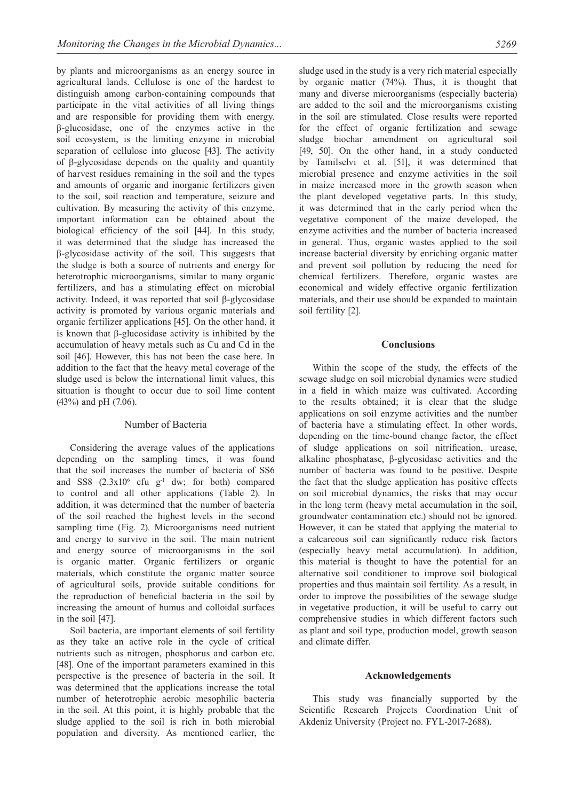by plants and microorganisms as an energy source in agricultural lands. Cellulose is one of the hardest to distinguish among carbon-containing compounds that participate in the vital activities of all living things and are responsible for providing them with energy. β-glucosidase, one of the enzymes active in the soil ecosystem, is the limiting enzyme in microbial separation of cellulose into glucose [43]. The activity of β-glycosidase depends on the quality and quantity of harvest residues remaining in the soil and the types and amounts of organic and inorganic fertilizers given to the soil, soil reaction and temperature, seizure and cultivation. By measuring the activity of this enzyme, important information can be obtained about the biological efficiency of the soil [44]. In this study, it was determined that the sludge has increased the β-glycosidase activity of the soil. This suggests that the sludge is both a source of nutrients and energy for heterotrophic microorganisms, similar to many organic fertilizers, and has a stimulating effect on microbial activity. Indeed, it was reported that soil β-glycosidase activity is promoted by various organic materials and organic fertilizer applications [45]. On the other hand, it is known that β-glucosidase activity is inhibited by the accumulation of heavy metals such as Cu and Cd in the soil [46]. However, this has not been the case here. In addition to the fact that the heavy metal coverage of the sludge used is below the international limit values, this situation is thought to occur due to soil lime content (43%) and pH (7.06).

#### Number of Bacteria

Considering the average values of the applications depending on the sampling times, it was found that the soil increases the number of bacteria of SS6 and SS8  $(2.3x10^6 \text{ cfu } g^{-1} \text{ dw}; \text{ for both})$  compared to control and all other applications (Table 2). In addition, it was determined that the number of bacteria of the soil reached the highest levels in the second sampling time (Fig. 2). Microorganisms need nutrient and energy to survive in the soil. The main nutrient and energy source of microorganisms in the soil is organic matter. Organic fertilizers or organic materials, which constitute the organic matter source of agricultural soils, provide suitable conditions for the reproduction of beneficial bacteria in the soil by increasing the amount of humus and colloidal surfaces in the soil [47].

Soil bacteria, are important elements of soil fertility as they take an active role in the cycle of critical nutrients such as nitrogen, phosphorus and carbon etc. [48]. One of the important parameters examined in this perspective is the presence of bacteria in the soil. It was determined that the applications increase the total number of heterotrophic aerobic mesophilic bacteria in the soil. At this point, it is highly probable that the sludge applied to the soil is rich in both microbial population and diversity. As mentioned earlier, the sludge used in the study is a very rich material especially by organic matter (74%). Thus, it is thought that many and diverse microorganisms (especially bacteria) are added to the soil and the microorganisms existing in the soil are stimulated. Close results were reported for the effect of organic fertilization and sewage sludge biochar amendment on agricultural soil [49, 50]. On the other hand, in a study conducted by Tamilselvi et al. [51], it was determined that microbial presence and enzyme activities in the soil in maize increased more in the growth season when the plant developed vegetative parts. In this study, it was determined that in the early period when the vegetative component of the maize developed, the enzyme activities and the number of bacteria increased in general. Thus, organic wastes applied to the soil increase bacterial diversity by enriching organic matter and prevent soil pollution by reducing the need for chemical fertilizers. Therefore, organic wastes are economical and widely effective organic fertilization materials, and their use should be expanded to maintain soil fertility [2].

#### **Conclusions**

Within the scope of the study, the effects of the sewage sludge on soil microbial dynamics were studied in a field in which maize was cultivated. According to the results obtained; it is clear that the sludge applications on soil enzyme activities and the number of bacteria have a stimulating effect. In other words, depending on the time-bound change factor, the effect of sludge applications on soil nitrification, urease, alkaline phosphatase, β-glycosidase activities and the number of bacteria was found to be positive. Despite the fact that the sludge application has positive effects on soil microbial dynamics, the risks that may occur in the long term (heavy metal accumulation in the soil, groundwater contamination etc.) should not be ignored. However, it can be stated that applying the material to a calcareous soil can significantly reduce risk factors (especially heavy metal accumulation). In addition, this material is thought to have the potential for an alternative soil conditioner to improve soil biological properties and thus maintain soil fertility. As a result, in order to improve the possibilities of the sewage sludge in vegetative production, it will be useful to carry out comprehensive studies in which different factors such as plant and soil type, production model, growth season and climate differ.

#### **Acknowledgements**

This study was financially supported by the Scientific Research Projects Coordination Unit of Akdeniz University (Project no. FYL-2017-2688).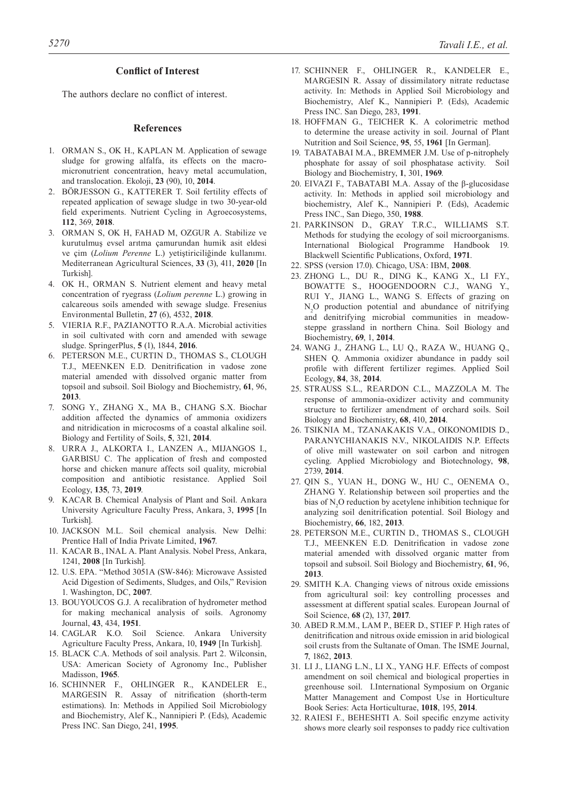#### **Conflict of Interest**

The authors declare no conflict of interest.

#### **References**

- 1. ORMAN S., OK H., KAPLAN M. Application of sewage sludge for growing alfalfa, its effects on the macromicronutrient concentration, heavy metal accumulation, and translocation. Ekoloji, **23** (90), 10, **2014**.
- 2. BÖRJESSON G., KATTERER T. Soil fertility effects of repeated application of sewage sludge in two 30-year-old field experiments. Nutrient Cycling in Agroecosystems, **112**, 369, **2018**.
- 3. ORMAN S, OK H, FAHAD M, OZGUR A. Stabilize ve kurutulmuş evsel arıtma çamurundan humik asit eldesi ve çim (*Lolium Perenne* L.) yetiştiriciliğinde kullanımı. Mediterranean Agricultural Sciences, **33** (3), 411, **2020** [In Turkish].
- 4. OK H., ORMAN S. Nutrient element and heavy metal concentration of ryegrass (*Lolium perenne* L.) growing in calcareous soils amended with sewage sludge. Fresenius Environmental Bulletin, **27** (6), 4532, **2018**.
- 5. VIERIA R.F., PAZIANOTTO R.A.A. Microbial activities in soil cultivated with corn and amended with sewage sludge. SpringerPlus, **5** (1), 1844, **2016**.
- 6. PETERSON M.E., CURTIN D., THOMAS S., CLOUGH T.J., MEENKEN E.D. Denitrification in vadose zone material amended with dissolved organic matter from topsoil and subsoil. Soil Biology and Biochemistry, **61**, 96, **2013**.
- 7. SONG Y., ZHANG X., MA B., CHANG S.X. Biochar addition affected the dynamics of ammonia oxidizers and nitridication in microcosms of a coastal alkaline soil. Biology and Fertility of Soils, **5**, 321, **2014**.
- 8. URRA J., ALKORTA I., LANZEN A., MIJANGOS I., GARBISU C. The application of fresh and composted horse and chicken manure affects soil quality, microbial composition and antibiotic resistance. Applied Soil Ecology, **135**, 73, **2019**.
- 9. KACAR B. Chemical Analysis of Plant and Soil. Ankara University Agriculture Faculty Press, Ankara, 3, **1995** [In Turkish].
- 10. JACKSON M.L. Soil chemical analysis. New Delhi: Prentice Hall of India Private Limited, **1967**.
- 11. KACAR B., INAL A. Plant Analysis. Nobel Press, Ankara, 1241, **2008** [In Turkish].
- 12. U.S. EPA. "Method 3051A (SW-846): Microwave Assisted Acid Digestion of Sediments, Sludges, and Oils," Revision 1. Washington, DC, **2007**.
- 13. BOUYOUCOS G.J. A recalibration of hydrometer method for making mechanical analysis of soils. Agronomy Journal, **43**, 434, **1951**.
- 14. CAGLAR K.O. Soil Science. Ankara University Agriculture Faculty Press, Ankara, 10, **1949** [In Turkish].
- 15. BLACK C.A. Methods of soil analysis. Part 2. Wilconsin, USA: American Society of Agronomy Inc., Publisher Madisson, **1965**.
- 16. SCHINNER F., OHLINGER R., KANDELER E., MARGESIN R. Assay of nitrification (shorth-term estimations). In: Methods in Appilied Soil Microbiology and Biochemistry, Alef K., Nannipieri P. (Eds), Academic Press INC. San Diego, 241, **1995**.
- 17. SCHINNER F., OHLINGER R., KANDELER E., MARGESIN R. Assay of dissimilatory nitrate reductase activity. In: Methods in Applied Soil Microbiology and Biochemistry, Alef K., Nannipieri P. (Eds), Academic Press INC. San Diego, 283, **1991**.
- 18. HOFFMAN G., TEICHER K. A colorimetric method to determine the urease activity in soil. Journal of Plant Nutrition and Soil Science, **95**, 55, **1961** [In German].
- 19. TABATABAI M.A., BREMMER J.M. Use of p-nitrophely phosphate for assay of soil phosphatase activity. Soil Biology and Biochemistry, **1**, 301, **1969**.
- 20. EIVAZI F., TABATABI M.A. Assay of the β-glucosidase activity. In: Methods in applied soil microbiology and biochemistry, Alef K., Nannipieri P. (Eds), Academic Press INC., San Diego, 350, **1988**.
- 21. PARKINSON D., GRAY T.R.C., WILLIAMS S.T. Methods for studying the ecology of soil microorganisms. International Biological Programme Handbook 19. Blackwell Scientific Publications, Oxford, **1971**.
- 22. SPSS (version 17.0). Chicago, USA: IBM, **2008**.
- 23. ZHONG L., DU R., DING K., KANG X., LI F.Y., BOWATTE S., HOOGENDOORN C.J., WANG Y., RUI Y., JIANG L., WANG S. Effects of grazing on  $N_2$ O production potential and abundance of nitrifying and denitrifying microbial communities in meadowsteppe grassland in northern China. Soil Biology and Biochemistry, **69**, 1, **2014**.
- 24. WANG J., ZHANG L., LU Q., RAZA W., HUANG Q., SHEN Q. Ammonia oxidizer abundance in paddy soil profile with different fertilizer regimes. Applied Soil Ecology, **84**, 38, **2014**.
- 25. STRAUSS S.L., REARDON C.L., MAZZOLA M. The response of ammonia-oxidizer activity and community structure to fertilizer amendment of orchard soils. Soil Biology and Biochemistry, **68**, 410, **2014**.
- 26. TSIKNIA M., TZANAKAKIS V.A., OIKONOMIDIS D., PARANYCHIANAKIS N.V., NIKOLAIDIS N.P. Effects of olive mill wastewater on soil carbon and nitrogen cycling. Applied Microbiology and Biotechnology, **98**, 2739, **2014**.
- 27. QIN S., YUAN H., DONG W., HU C., OENEMA O., ZHANG Y. Relationship between soil properties and the bias of  $N_2O$  reduction by acetylene inhibition technique for analyzing soil denitrification potential. Soil Biology and Biochemistry, **66**, 182, **2013**.
- 28. PETERSON M.E., CURTIN D., THOMAS S., CLOUGH T.J., MEENKEN E.D. Denitrification in vadose zone material amended with dissolved organic matter from topsoil and subsoil. Soil Biology and Biochemistry, **61**, 96, **2013**.
- 29. SMITH K.A. Changing views of nitrous oxide emissions from agricultural soil: key controlling processes and assessment at different spatial scales. European Journal of Soil Science, **68** (2), 137, **2017**.
- 30. ABED R.M.M., LAM P., BEER D., STIEF P. High rates of denitrification and nitrous oxide emission in arid biological soil crusts from the Sultanate of Oman. The ISME Journal, **7**, 1862, **2013**.
- 31. LI J., LIANG L.N., LI X., YANG H.F. Effects of compost amendment on soil chemical and biological properties in greenhouse soil. I.International Symposium on Organic Matter Management and Compost Use in Horticulture Book Series: Acta Horticulturae, **1018**, 195, **2014**.
- 32. RAIESI F., BEHESHTI A. Soil specific enzyme activity shows more clearly soil responses to paddy rice cultivation